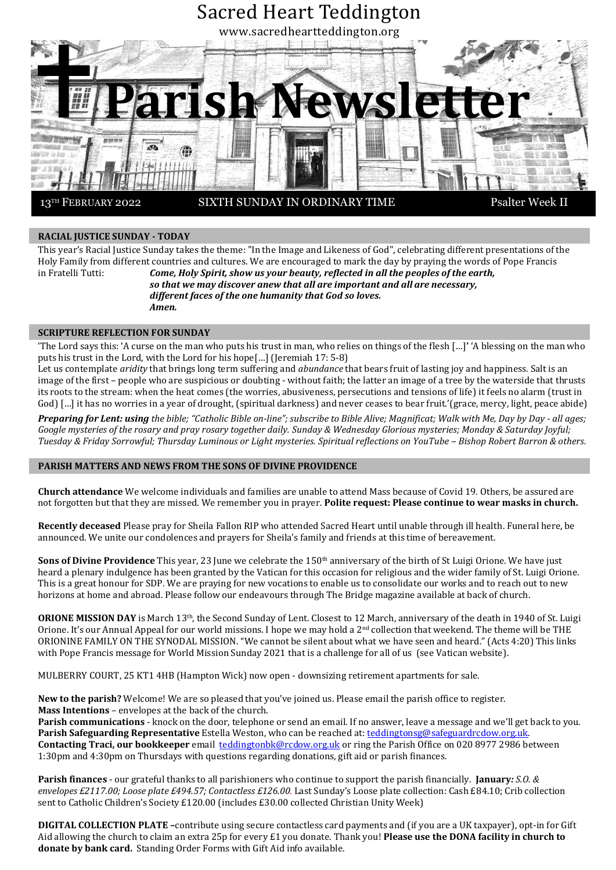

### **RACIAL JUSTICE SUNDAY - TODAY**

This year's Racial Justice Sunday takes the theme: "In the Image and Likeness of God", celebrating different presentations of the Holy Family from different countries and cultures. We are encouraged to mark the day by praying the words of Pope Francis in Fratelli Tutti: *Come, Holy Spirit, show us your beauty, reflected in all the peoples of the earth, so that we may discover anew that all are important and all are necessary,*

*different faces of the one humanity that God so loves. Amen.*

### **SCRIPTURE REFLECTION FOR SUNDAY**

'The Lord says this: 'A curse on the man who puts his trust in man, who relies on things of the flesh […]**'** 'A blessing on the man who puts his trust in the Lord, with the Lord for his hope[…] (Jeremiah 17: 5-8)

Let us contemplate *aridity* that brings long term suffering and *abundance* that bears fruit of lasting joy and happiness. Salt is an image of the first – people who are suspicious or doubting - without faith; the latter an image of a tree by the waterside that thrusts its roots to the stream: when the heat comes (the worries, abusiveness, persecutions and tensions of life) it feels no alarm (trust in God) […] it has no worries in a year of drought, (spiritual darkness) and never ceases to bear fruit.'(grace, mercy, light, peace abide)

*Preparing for Lent: using the bible; "Catholic Bible on-line"; subscribe to Bible Alive; Magnificat; Walk with Me, Day by Day - all ages; Google mysteries of the rosary and pray rosary together daily. Sunday & Wednesday Glorious mysteries; Monday & Saturday Joyful; Tuesday & Friday Sorrowful; Thursday Luminous or Light mysteries. Spiritual reflections on YouTube – Bishop Robert Barron & others.*

### **PARISH MATTERS AND NEWS FROM THE SONS OF DIVINE PROVIDENCE**

**Church attendance** We welcome individuals and families are unable to attend Mass because of Covid 19. Others, be assured are not forgotten but that they are missed. We remember you in prayer. **Polite request: Please continue to wear masks in church.**

**Recently deceased** Please pray for Sheila Fallon RIP who attended Sacred Heart until unable through ill health. Funeral here, be announced. We unite our condolences and prayers for Sheila's family and friends at this time of bereavement.

**Sons of Divine Providence** This year, 23 June we celebrate the 150th anniversary of the birth of St Luigi Orione. We have just heard a plenary indulgence has been granted by the Vatican for this occasion for religious and the wider family of St. Luigi Orione. This is a great honour for SDP. We are praying for new vocations to enable us to consolidate our works and to reach out to new horizons at home and abroad. Please follow our endeavours through The Bridge magazine available at back of church.

**ORIONE MISSION DAY** is March 13th, the Second Sunday of Lent. Closest to 12 March, anniversary of the death in 1940 of St. Luigi Orione. It's our Annual Appeal for our world missions. I hope we may hold a  $2^{nd}$  collection that weekend. The theme will be THE ORIONINE FAMILY ON THE SYNODAL MISSION. "We cannot be silent about what we have seen and heard." (Acts 4:20) This links with Pope Francis message for World Mission Sunday 2021 that is a challenge for all of us (see Vatican website).

MULBERRY COURT, 25 KT1 4HB (Hampton Wick) now open - downsizing retirement apartments for sale.

**New to the parish?** Welcome! We are so pleased that you've joined us. Please email the parish office to register. **Mass Intentions** – envelopes at the back of the church.

**Parish communications** - knock on the door, telephone or send an email. If no answer, leave a message and we'll get back to you. **Parish Safeguarding Representative** Estella Weston, who can be reached at: [teddingtonsg@safeguardrcdow.org.uk.](mailto:teddingtonsg@safeguardrcdow.org.uk) **Contacting Traci, our bookkeeper** email [teddingtonbk@rcdow.org.uk](mailto:teddingtonbk@rcdow.org.uk) or ring the Parish Office on 020 8977 2986 between 1:30pm and 4:30pm on Thursdays with questions regarding donations, gift aid or parish finances.

**Parish finances** - our grateful thanks to all parishioners who continue to support the parish financially. **January***: S.O. & envelopes £2117.00; Loose plate £494.57; Contactless £126.00.* Last Sunday's Loose plate collection: Cash £84.10; Crib collection sent to Catholic Children's Society £120.00 (includes £30.00 collected Christian Unity Week)

**DIGITAL COLLECTION PLATE –**contribute using secure contactless card payments and (if you are a UK taxpayer), opt-in for Gift Aid allowing the church to claim an extra 25p for every £1 you donate. Thank you! **Please use the DONA facility in church to donate by bank card.** Standing Order Forms with Gift Aid info available.